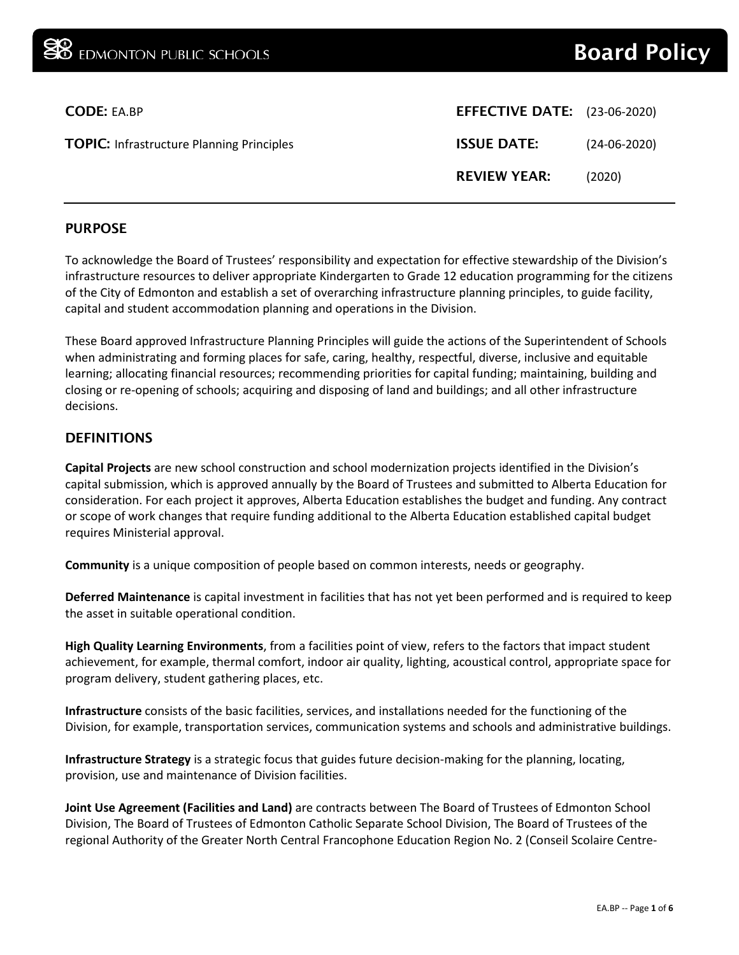| <b>CODE: EA.BP</b>                               | <b>EFFECTIVE DATE:</b> (23-06-2020) |                |
|--------------------------------------------------|-------------------------------------|----------------|
| <b>TOPIC:</b> Infrastructure Planning Principles | <b>ISSUE DATE:</b>                  | $(24-06-2020)$ |
|                                                  | <b>REVIEW YEAR:</b>                 | (2020)         |
|                                                  |                                     |                |

#### PURPOSE

To acknowledge the Board of Trustees' responsibility and expectation for effective stewardship of the Division's infrastructure resources to deliver appropriate Kindergarten to Grade 12 education programming for the citizens of the City of Edmonton and establish a set of overarching infrastructure planning principles, to guide facility, capital and student accommodation planning and operations in the Division.

These Board approved Infrastructure Planning Principles will guide the actions of the Superintendent of Schools when administrating and forming places for safe, caring, healthy, respectful, diverse, inclusive and equitable learning; allocating financial resources; recommending priorities for capital funding; maintaining, building and closing or re-opening of schools; acquiring and disposing of land and buildings; and all other infrastructure decisions.

### DEFINITIONS

**Capital Projects** are new school construction and school modernization projects identified in the Division's capital submission, which is approved annually by the Board of Trustees and submitted to Alberta Education for consideration. For each project it approves, Alberta Education establishes the budget and funding. Any contract or scope of work changes that require funding additional to the Alberta Education established capital budget requires Ministerial approval.

**Community** is a unique composition of people based on common interests, needs or geography.

**Deferred Maintenance** is capital investment in facilities that has not yet been performed and is required to keep the asset in suitable operational condition.

**High Quality Learning Environments**, from a facilities point of view, refers to the factors that impact student achievement, for example, thermal comfort, indoor air quality, lighting, acoustical control, appropriate space for program delivery, student gathering places, etc.

**Infrastructure** consists of the basic facilities, services, and installations needed for the functioning of the Division, for example, transportation services, communication systems and schools and administrative buildings.

**Infrastructure Strategy** is a strategic focus that guides future decision-making for the planning, locating, provision, use and maintenance of Division facilities.

**Joint Use Agreement (Facilities and Land)** are contracts between The Board of Trustees of Edmonton School Division, The Board of Trustees of Edmonton Catholic Separate School Division, The Board of Trustees of the regional Authority of the Greater North Central Francophone Education Region No. 2 (Conseil Scolaire Centre-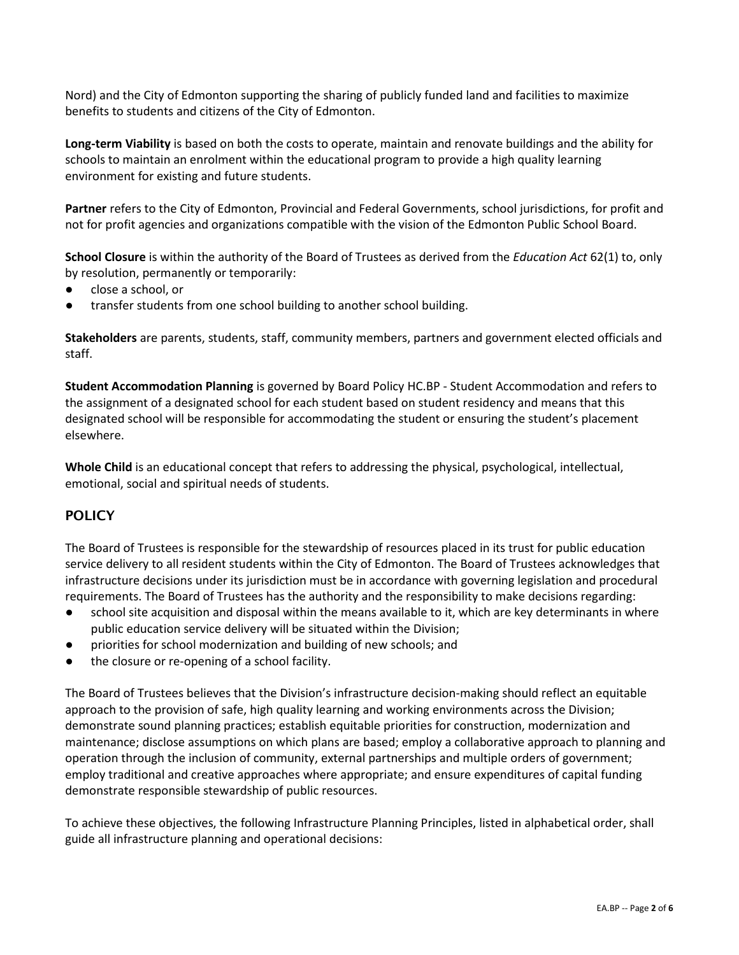Nord) and the City of Edmonton supporting the sharing of publicly funded land and facilities to maximize benefits to students and citizens of the City of Edmonton.

**Long-term Viability** is based on both the costs to operate, maintain and renovate buildings and the ability for schools to maintain an enrolment within the educational program to provide a high quality learning environment for existing and future students.

**Partner** refers to the City of Edmonton, Provincial and Federal Governments, school jurisdictions, for profit and not for profit agencies and organizations compatible with the vision of the Edmonton Public School Board.

**School Closure** is within the authority of the Board of Trustees as derived from the *Education Act* 62(1) to, only by resolution, permanently or temporarily:

- close a school, or
- transfer students from one school building to another school building.

**Stakeholders** are parents, students, staff, community members, partners and government elected officials and staff.

**Student Accommodation Planning** is governed by Board Policy HC.BP - Student Accommodation and refers to the assignment of a designated school for each student based on student residency and means that this designated school will be responsible for accommodating the student or ensuring the student's placement elsewhere.

**Whole Child** is an educational concept that refers to addressing the physical, psychological, intellectual, emotional, social and spiritual needs of students.

## **POLICY**

The Board of Trustees is responsible for the stewardship of resources placed in its trust for public education service delivery to all resident students within the City of Edmonton. The Board of Trustees acknowledges that infrastructure decisions under its jurisdiction must be in accordance with governing legislation and procedural requirements. The Board of Trustees has the authority and the responsibility to make decisions regarding:

- school site acquisition and disposal within the means available to it, which are key determinants in where public education service delivery will be situated within the Division;
- priorities for school modernization and building of new schools; and
- the closure or re-opening of a school facility.

The Board of Trustees believes that the Division's infrastructure decision-making should reflect an equitable approach to the provision of safe, high quality learning and working environments across the Division; demonstrate sound planning practices; establish equitable priorities for construction, modernization and maintenance; disclose assumptions on which plans are based; employ a collaborative approach to planning and operation through the inclusion of community, external partnerships and multiple orders of government; employ traditional and creative approaches where appropriate; and ensure expenditures of capital funding demonstrate responsible stewardship of public resources.

To achieve these objectives, the following Infrastructure Planning Principles, listed in alphabetical order, shall guide all infrastructure planning and operational decisions: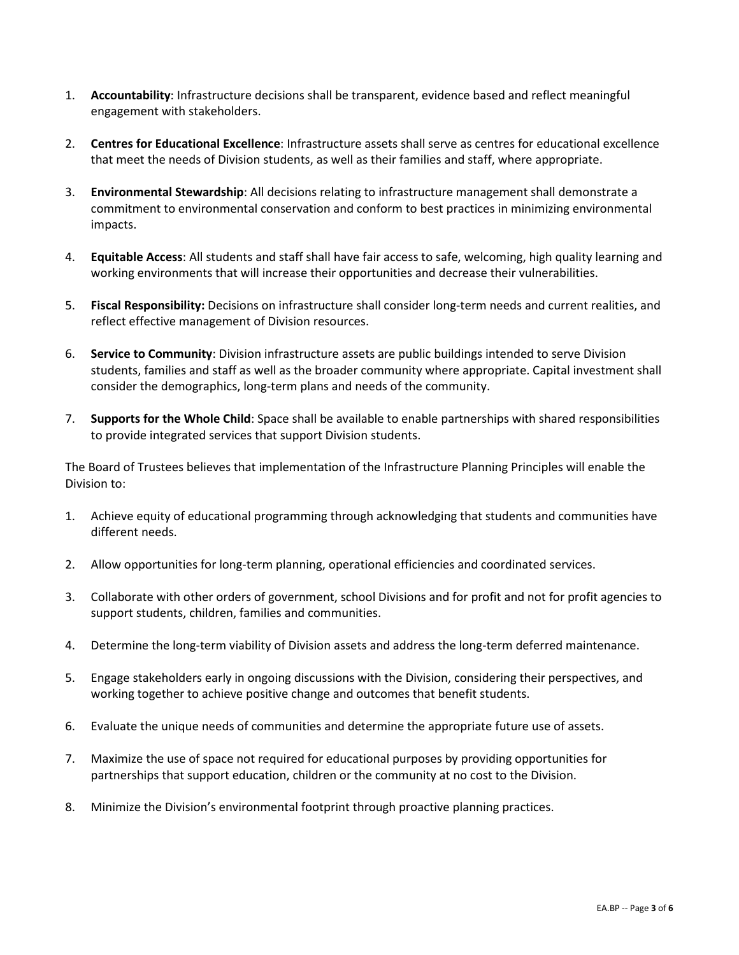- 1. **Accountability**: Infrastructure decisions shall be transparent, evidence based and reflect meaningful engagement with stakeholders.
- 2. **Centres for Educational Excellence**: Infrastructure assets shall serve as centres for educational excellence that meet the needs of Division students, as well as their families and staff, where appropriate.
- 3. **Environmental Stewardship**: All decisions relating to infrastructure management shall demonstrate a commitment to environmental conservation and conform to best practices in minimizing environmental impacts.
- 4. **Equitable Access**: All students and staff shall have fair access to safe, welcoming, high quality learning and working environments that will increase their opportunities and decrease their vulnerabilities.
- 5. **Fiscal Responsibility:** Decisions on infrastructure shall consider long-term needs and current realities, and reflect effective management of Division resources.
- 6. **Service to Community**: Division infrastructure assets are public buildings intended to serve Division students, families and staff as well as the broader community where appropriate. Capital investment shall consider the demographics, long-term plans and needs of the community.
- 7. **Supports for the Whole Child**: Space shall be available to enable partnerships with shared responsibilities to provide integrated services that support Division students.

The Board of Trustees believes that implementation of the Infrastructure Planning Principles will enable the Division to:

- 1. Achieve equity of educational programming through acknowledging that students and communities have different needs.
- 2. Allow opportunities for long-term planning, operational efficiencies and coordinated services.
- 3. Collaborate with other orders of government, school Divisions and for profit and not for profit agencies to support students, children, families and communities.
- 4. Determine the long-term viability of Division assets and address the long-term deferred maintenance.
- 5. Engage stakeholders early in ongoing discussions with the Division, considering their perspectives, and working together to achieve positive change and outcomes that benefit students.
- 6. Evaluate the unique needs of communities and determine the appropriate future use of assets.
- 7. Maximize the use of space not required for educational purposes by providing opportunities for partnerships that support education, children or the community at no cost to the Division.
- 8. Minimize the Division's environmental footprint through proactive planning practices.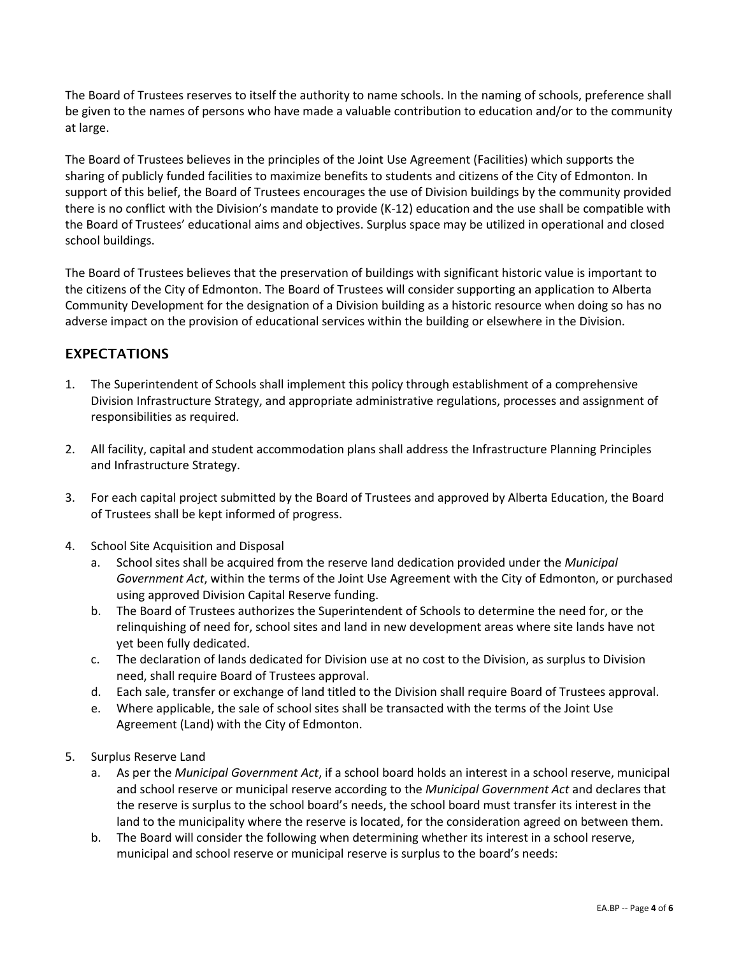The Board of Trustees reserves to itself the authority to name schools. In the naming of schools, preference shall be given to the names of persons who have made a valuable contribution to education and/or to the community at large.

The Board of Trustees believes in the principles of the Joint Use Agreement (Facilities) which supports the sharing of publicly funded facilities to maximize benefits to students and citizens of the City of Edmonton. In support of this belief, the Board of Trustees encourages the use of Division buildings by the community provided there is no conflict with the Division's mandate to provide (K-12) education and the use shall be compatible with the Board of Trustees' educational aims and objectives. Surplus space may be utilized in operational and closed school buildings.

The Board of Trustees believes that the preservation of buildings with significant historic value is important to the citizens of the City of Edmonton. The Board of Trustees will consider supporting an application to Alberta Community Development for the designation of a Division building as a historic resource when doing so has no adverse impact on the provision of educational services within the building or elsewhere in the Division.

# EXPECTATIONS

- 1. The Superintendent of Schools shall implement this policy through establishment of a comprehensive Division Infrastructure Strategy, and appropriate administrative regulations, processes and assignment of responsibilities as required.
- 2. All facility, capital and student accommodation plans shall address the Infrastructure Planning Principles and Infrastructure Strategy.
- 3. For each capital project submitted by the Board of Trustees and approved by Alberta Education, the Board of Trustees shall be kept informed of progress.
- 4. School Site Acquisition and Disposal
	- a. School sites shall be acquired from the reserve land dedication provided under the *Municipal Government Act*, within the terms of the Joint Use Agreement with the City of Edmonton, or purchased using approved Division Capital Reserve funding.
	- b. The Board of Trustees authorizes the Superintendent of Schools to determine the need for, or the relinquishing of need for, school sites and land in new development areas where site lands have not yet been fully dedicated.
	- c. The declaration of lands dedicated for Division use at no cost to the Division, as surplus to Division need, shall require Board of Trustees approval.
	- d. Each sale, transfer or exchange of land titled to the Division shall require Board of Trustees approval.
	- e. Where applicable, the sale of school sites shall be transacted with the terms of the Joint Use Agreement (Land) with the City of Edmonton.
- 5. Surplus Reserve Land
	- a. As per the *Municipal Government Act*, if a school board holds an interest in a school reserve, municipal and school reserve or municipal reserve according to the *Municipal Government Act* and declares that the reserve is surplus to the school board's needs, the school board must transfer its interest in the land to the municipality where the reserve is located, for the consideration agreed on between them.
	- b. The Board will consider the following when determining whether its interest in a school reserve, municipal and school reserve or municipal reserve is surplus to the board's needs: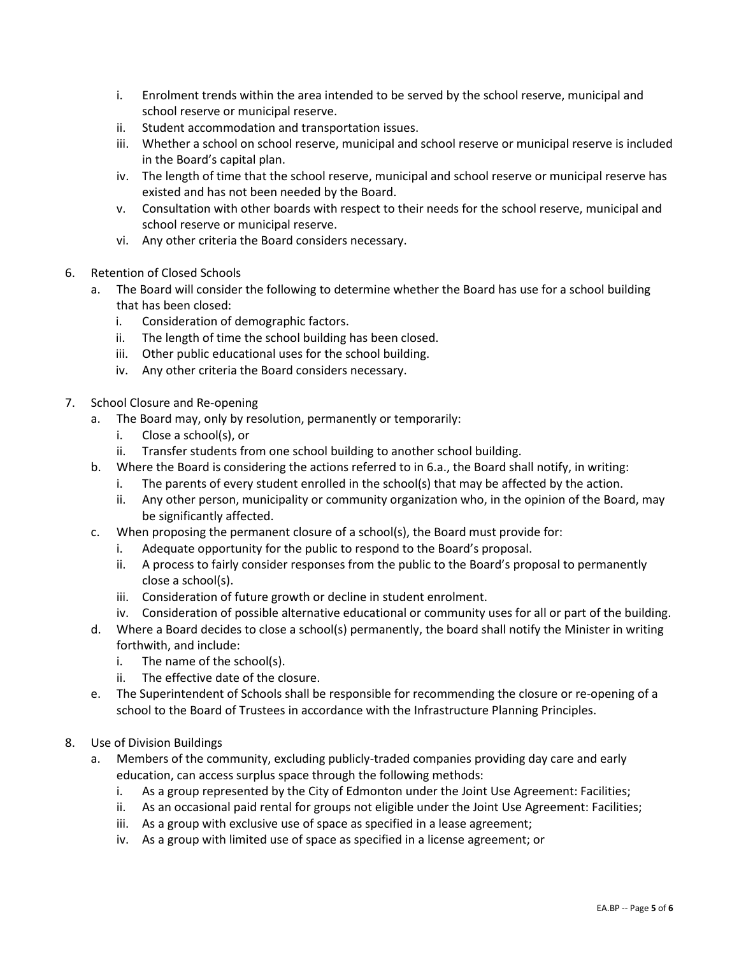- i. Enrolment trends within the area intended to be served by the school reserve, municipal and school reserve or municipal reserve.
- ii. Student accommodation and transportation issues.
- iii. Whether a school on school reserve, municipal and school reserve or municipal reserve is included in the Board's capital plan.
- iv. The length of time that the school reserve, municipal and school reserve or municipal reserve has existed and has not been needed by the Board.
- v. Consultation with other boards with respect to their needs for the school reserve, municipal and school reserve or municipal reserve.
- vi. Any other criteria the Board considers necessary.
- 6. Retention of Closed Schools
	- a. The Board will consider the following to determine whether the Board has use for a school building that has been closed:
		- i. Consideration of demographic factors.
		- ii. The length of time the school building has been closed.
		- iii. Other public educational uses for the school building.
		- iv. Any other criteria the Board considers necessary.
- 7. School Closure and Re-opening
	- a. The Board may, only by resolution, permanently or temporarily:
		- i. Close a school(s), or
		- ii. Transfer students from one school building to another school building.
	- b. Where the Board is considering the actions referred to in 6.a., the Board shall notify, in writing:
		- i. The parents of every student enrolled in the school(s) that may be affected by the action.
		- ii. Any other person, municipality or community organization who, in the opinion of the Board, may be significantly affected.
	- c. When proposing the permanent closure of a school(s), the Board must provide for:
		- i. Adequate opportunity for the public to respond to the Board's proposal.
		- ii. A process to fairly consider responses from the public to the Board's proposal to permanently close a school(s).
		- iii. Consideration of future growth or decline in student enrolment.
	- iv. Consideration of possible alternative educational or community uses for all or part of the building.
	- d. Where a Board decides to close a school(s) permanently, the board shall notify the Minister in writing forthwith, and include:
		- i. The name of the school(s).
		- ii. The effective date of the closure.
	- e. The Superintendent of Schools shall be responsible for recommending the closure or re-opening of a school to the Board of Trustees in accordance with the Infrastructure Planning Principles.
- 8. Use of Division Buildings
	- a. Members of the community, excluding publicly-traded companies providing day care and early education, can access surplus space through the following methods:
		- i. As a group represented by the City of Edmonton under the Joint Use Agreement: Facilities;
		- ii. As an occasional paid rental for groups not eligible under the Joint Use Agreement: Facilities;
		- iii. As a group with exclusive use of space as specified in a lease agreement;
		- iv. As a group with limited use of space as specified in a license agreement; or